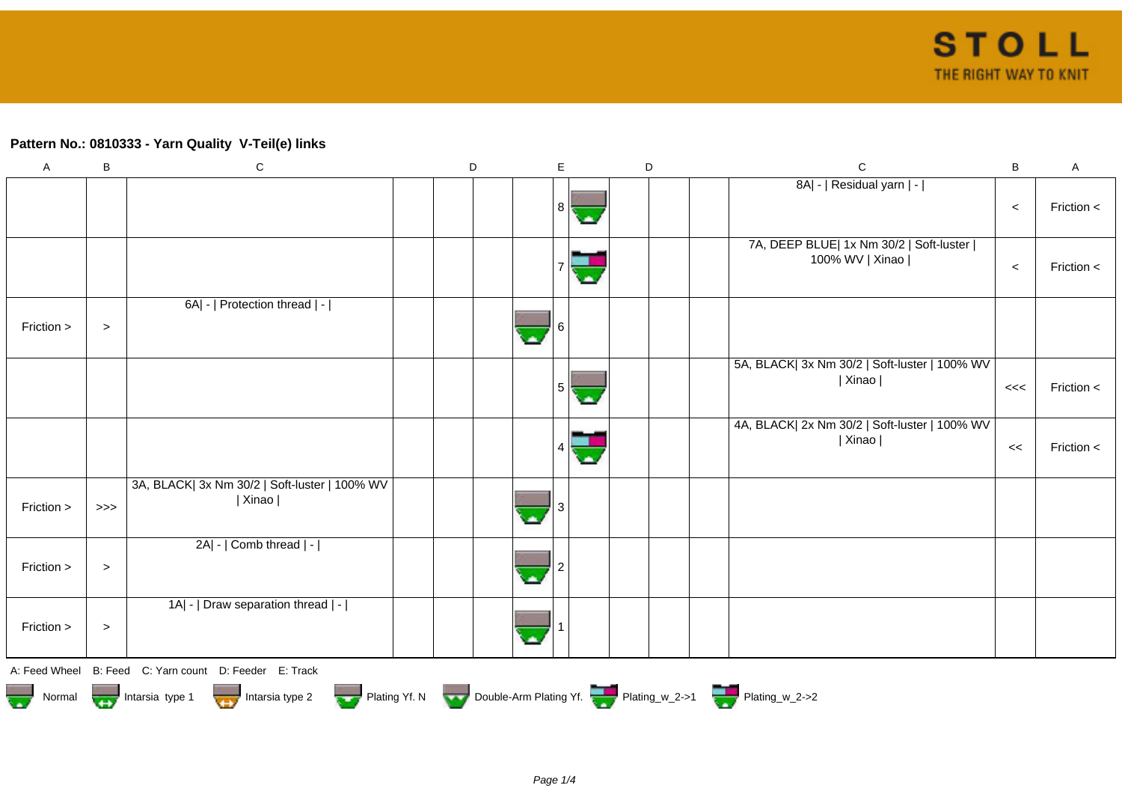## **Pattern No.: 0810333 - Yarn Quality V-Teil(e) links**

| $\mathsf A$ | B      | $\mathbf C$                                                                            | D | E   | D | $\mathbf C$                                                  | B     | $\mathsf A$ |
|-------------|--------|----------------------------------------------------------------------------------------|---|-----|---|--------------------------------------------------------------|-------|-------------|
|             |        |                                                                                        |   | 8 I |   | 8A  -   Residual yarn   -                                    | $\,<$ | Friction <  |
|             |        |                                                                                        |   |     |   | 7A, DEEP BLUE  1x Nm 30/2   Soft-luster  <br>100% WV   Xinao | $\,<$ | Friction <  |
| Friction >  | $\, >$ | 6A  -   Protection thread   -                                                          |   |     |   |                                                              |       |             |
|             |        |                                                                                        |   | 5   |   | 5A, BLACK  3x Nm 30/2   Soft-luster   100% WV<br>  Xinao     | <<    | Friction <  |
|             |        |                                                                                        |   |     |   | 4A, BLACK  2x Nm 30/2   Soft-luster   100% WV<br>  Xinao     | <<    | Friction <  |
| Friction >  | $>>>$  | 3A, BLACK  3x Nm 30/2   Soft-luster   100% WV<br>  Xinao                               |   |     |   |                                                              |       |             |
| Friction >  | $\, >$ | 2A  -   Comb thread   -                                                                |   |     |   |                                                              |       |             |
| Friction >  | $\, >$ | 1A  -   Draw separation thread   -                                                     |   |     |   |                                                              |       |             |
|             |        | A: Feed Wheel B: Feed C: Yarn count D: Feeder E: Track                                 |   |     |   |                                                              |       |             |
|             |        | Normal <b>Double-Arm Plating Yf. N</b> Double-Arm Plating Yf. N Double-Arm Plating Yf. |   |     |   |                                                              |       |             |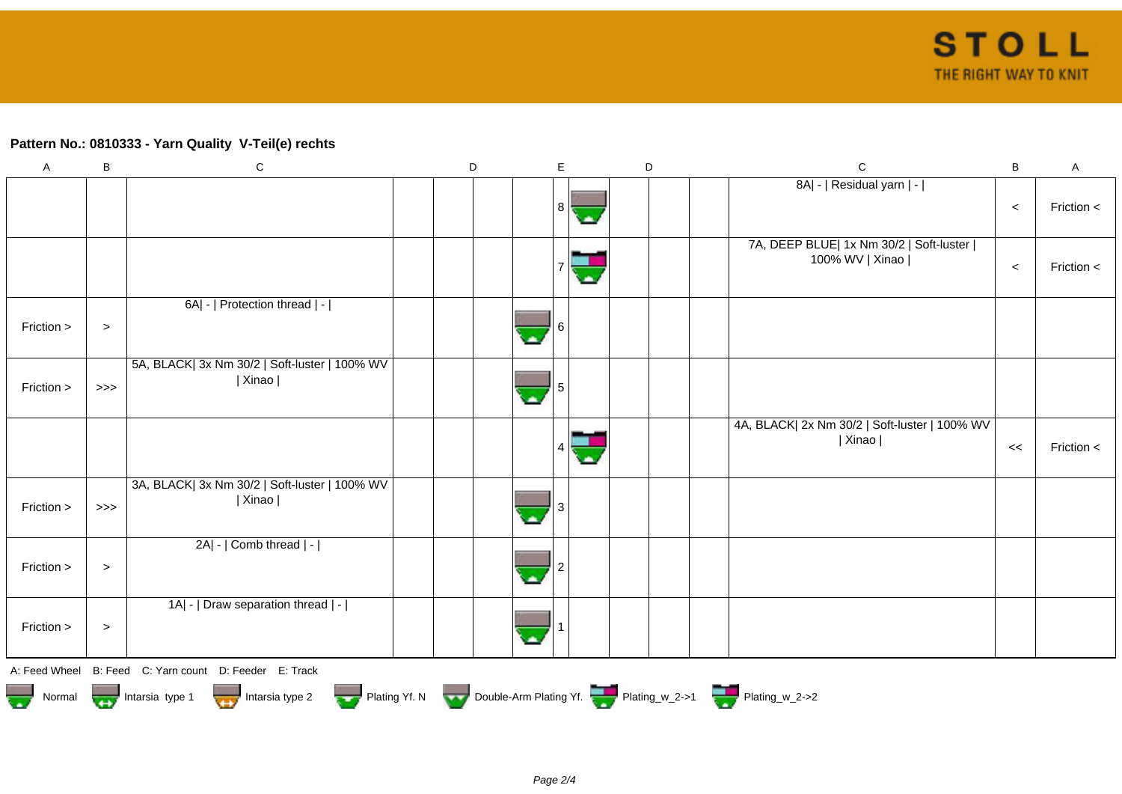## **Pattern No.: 0810333 - Yarn Quality V-Teil(e) rechts**

| $\boldsymbol{\mathsf{A}}$ | B      | $\mathbf C$                                                | D | E | D |  | $\mathbf C$                                                        | B     | $\mathsf A$ |
|---------------------------|--------|------------------------------------------------------------|---|---|---|--|--------------------------------------------------------------------|-------|-------------|
|                           |        |                                                            |   | 8 |   |  | 8A  -   Residual yarn   -                                          | $\,<$ | Friction <  |
|                           |        |                                                            |   |   |   |  | 7A, DEEP BLUE  1x Nm 30/2   Soft-luster  <br>100% WV   Xinao       | $\,<$ | Friction <  |
| Friction >                | $\, >$ | 6A  -   Protection thread   -                              |   |   |   |  |                                                                    |       |             |
| Friction >                | $>>>$  | 5A, BLACK  3x Nm 30/2   Soft-luster   100% WV<br>  Xinao   |   |   |   |  |                                                                    |       |             |
|                           |        |                                                            |   |   |   |  | 4A, BLACK  2x Nm 30/2   Soft-luster   100% WV<br>  Xinao           | <<    | Friction <  |
| Friction >                | $>>>$  | 3A, BLACK  3x Nm 30/2   Soft-luster   100% WV  <br>  Xinao |   |   |   |  |                                                                    |       |             |
| Friction >                | $\, >$ | 2A  -   Comb thread   -                                    |   |   |   |  |                                                                    |       |             |
| Friction >                | $\, >$ | 1A  -   Draw separation thread   -                         |   |   |   |  |                                                                    |       |             |
|                           |        | A: Feed Wheel B: Feed C: Yarn count D: Feeder E: Track     |   |   |   |  |                                                                    |       |             |
| Normal                    |        | Intarsia type 1<br>Intarsia type 2                         |   |   |   |  | Plating Yf. N Double-Arm Plating Yf. Plating w_2->1 Plating w_2->2 |       |             |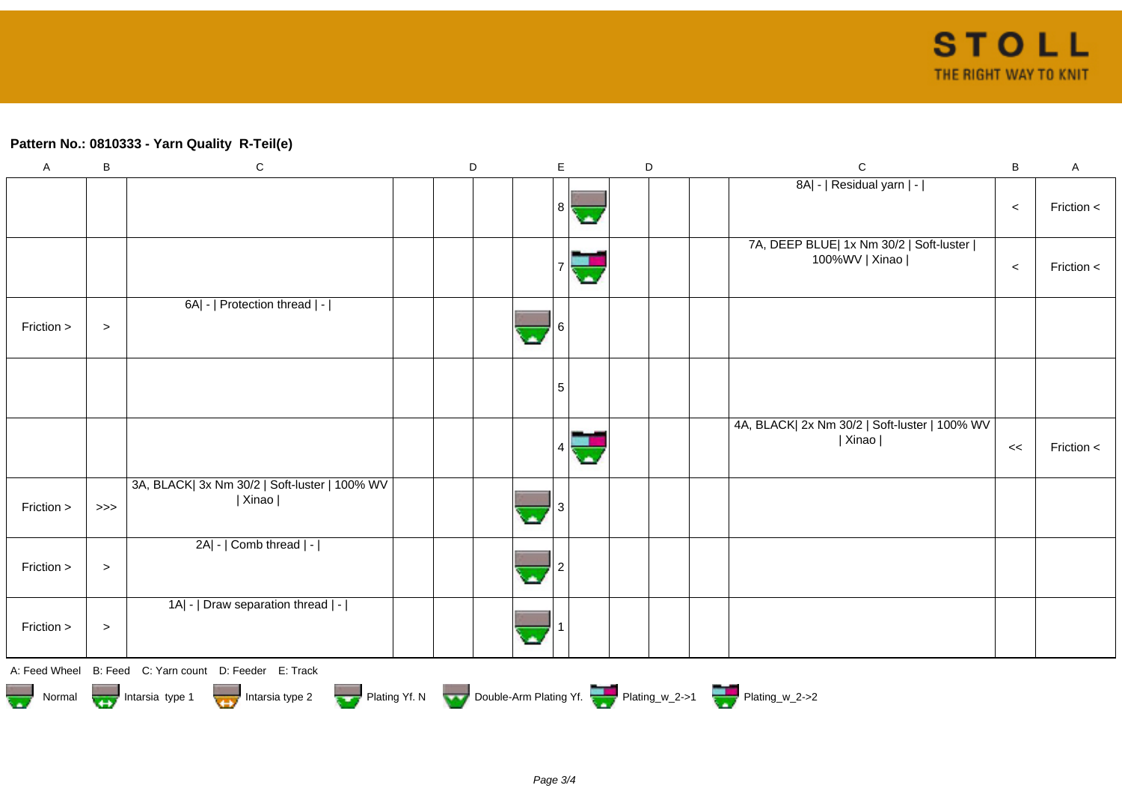## **Pattern No.: 0810333 - Yarn Quality R-Teil(e)**

| $\mathsf A$ | B                                                                                          | ${\bf C}$                                                |  | $\mathsf D$ |  | E        |  | $\mathsf D$ |  |  | $\mathsf C$                                                 | $\, {\bf B}$ | A          |
|-------------|--------------------------------------------------------------------------------------------|----------------------------------------------------------|--|-------------|--|----------|--|-------------|--|--|-------------------------------------------------------------|--------------|------------|
|             |                                                                                            |                                                          |  |             |  | $8\vert$ |  |             |  |  | 8A  -   Residual yarn   -                                   | $\,<$        | Friction < |
|             |                                                                                            |                                                          |  |             |  |          |  |             |  |  | 7A, DEEP BLUE  1x Nm 30/2   Soft-luster  <br>100%WV   Xinao | $\,<$        | Friction < |
| Friction >  | $\,>$                                                                                      | 6A  -   Protection thread   -                            |  |             |  |          |  |             |  |  |                                                             |              |            |
|             |                                                                                            |                                                          |  |             |  | 5        |  |             |  |  |                                                             |              |            |
|             |                                                                                            |                                                          |  |             |  |          |  |             |  |  | 4A, BLACK  2x Nm 30/2   Soft-luster   100% WV<br>  Xinao    | <<           | Friction < |
| Friction >  | $>>>$                                                                                      | 3A, BLACK  3x Nm 30/2   Soft-luster   100% WV<br>  Xinao |  |             |  |          |  |             |  |  |                                                             |              |            |
| Friction >  | $\,>$                                                                                      | 2A  -   Comb thread   -                                  |  |             |  |          |  |             |  |  |                                                             |              |            |
| Friction >  | $\, >$                                                                                     | 1A  -   Draw separation thread   -                       |  |             |  |          |  |             |  |  |                                                             |              |            |
|             |                                                                                            | A: Feed Wheel B: Feed C: Yarn count D: Feeder E: Track   |  |             |  |          |  |             |  |  |                                                             |              |            |
|             | Normal Intarsia type 1 Intarsia type 2 Plating Yf. N Double-Arm Plating Yf. Plating_w_2->1 |                                                          |  |             |  |          |  |             |  |  |                                                             |              |            |